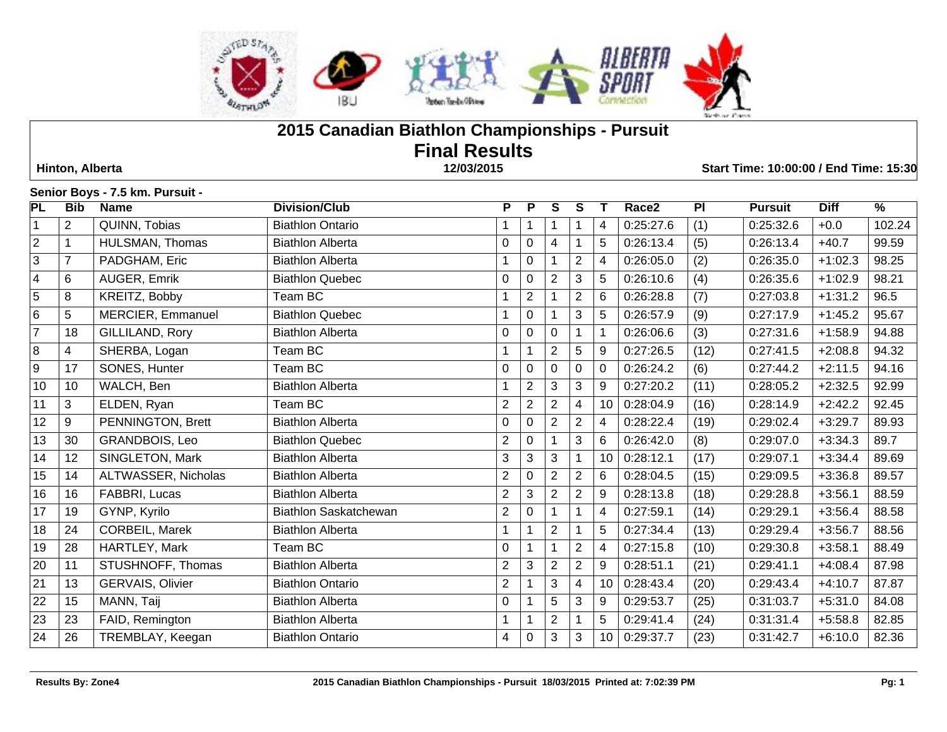

# **2015 Canadian Biathlon Championships - Pursuit Final Results Hinton, Alberta 12/03/2015 Start Time: 10:00:00 / End Time: 15:30**

# **Senior Boys - 7.5 km. Pursuit -**

| PL             | <b>Bib</b>     | <b>Name</b>         | <b>Division/Club</b>         | P              | P              | S              | S                       | Т  | Race2     | PI   | <b>Pursuit</b> | <b>Diff</b> | $\overline{\frac{9}{6}}$ |
|----------------|----------------|---------------------|------------------------------|----------------|----------------|----------------|-------------------------|----|-----------|------|----------------|-------------|--------------------------|
| $\overline{1}$ | $\overline{2}$ | QUINN, Tobias       | <b>Biathlon Ontario</b>      |                |                |                | 1                       | 4  | 0:25:27.6 | (1)  | 0:25:32.6      | $+0.0$      | 102.24                   |
| $\overline{2}$ | $\mathbf{1}$   | HULSMAN, Thomas     | <b>Biathlon Alberta</b>      | 0              | 0              | 4              | 1                       | 5  | 0:26:13.4 | (5)  | 0:26:13.4      | $+40.7$     | 99.59                    |
| $\overline{3}$ | $\overline{7}$ | PADGHAM, Eric       | <b>Biathlon Alberta</b>      |                | 0              |                | $\overline{2}$          | 4  | 0:26:05.0 | (2)  | 0:26:35.0      | $+1:02.3$   | 98.25                    |
| $\overline{4}$ | 6              | AUGER, Emrik        | <b>Biathlon Quebec</b>       | 0              | 0              | 2              | 3                       | 5  | 0:26:10.6 | (4)  | 0:26:35.6      | $+1:02.9$   | 98.21                    |
| 5              | 8              | KREITZ, Bobby       | Team BC                      |                | $\overline{2}$ |                | $\overline{2}$          | 6  | 0:26:28.8 | (7)  | 0:27:03.8      | $+1:31.2$   | 96.5                     |
| 6              | 5              | MERCIER, Emmanuel   | <b>Biathlon Quebec</b>       |                | 0              |                | $\mathbf{3}$            | 5  | 0:26:57.9 | (9)  | 0:27:17.9      | $+1:45.2$   | 95.67                    |
| $\overline{7}$ | 18             | GILLILAND, Rory     | <b>Biathlon Alberta</b>      | 0              | 0              | 0              | 1                       | 1  | 0:26:06.6 | (3)  | 0:27:31.6      | $+1:58.9$   | 94.88                    |
| $\,8\,$        | 4              | SHERBA, Logan       | Team BC                      |                |                | $\overline{2}$ | 5                       | 9  | 0:27:26.5 | (12) | 0:27:41.5      | $+2:08.8$   | 94.32                    |
| $\overline{9}$ | 17             | SONES, Hunter       | Team BC                      | 0              | 0              | $\mathbf{0}$   | 0                       | 0  | 0:26:24.2 | (6)  | 0:27:44.2      | $+2:11.5$   | 94.16                    |
| 10             | 10             | WALCH, Ben          | <b>Biathlon Alberta</b>      |                | $\overline{2}$ | 3              | 3                       | 9  | 0:27:20.2 | (11) | 0:28:05.2      | $+2:32.5$   | 92.99                    |
| 11             | 3              | ELDEN, Ryan         | Team BC                      | $\overline{2}$ | $\overline{2}$ | $\overline{2}$ | $\overline{\mathbf{4}}$ | 10 | 0:28:04.9 | (16) | 0:28:14.9      | $+2:42.2$   | 92.45                    |
| 12             | 9              | PENNINGTON, Brett   | <b>Biathlon Alberta</b>      | 0              | $\Omega$       | $\overline{2}$ | $\overline{2}$          | 4  | 0:28:22.4 | (19) | 0:29:02.4      | $+3:29.7$   | 89.93                    |
| 13             | 30             | GRANDBOIS, Leo      | <b>Biathlon Quebec</b>       | $\overline{c}$ | $\mathbf 0$    |                | $\mathbf{3}$            | 6  | 0:26:42.0 | (8)  | 0:29:07.0      | $+3:34.3$   | 89.7                     |
| 14             | 12             | SINGLETON, Mark     | <b>Biathlon Alberta</b>      | 3              | 3              | 3              | $\mathbf 1$             | 10 | 0:28:12.1 | (17) | 0:29:07.1      | $+3:34.4$   | 89.69                    |
| 15             | 14             | ALTWASSER, Nicholas | <b>Biathlon Alberta</b>      | $\overline{2}$ | $\mathbf 0$    | $\overline{2}$ | $\overline{2}$          | 6  | 0:28:04.5 | (15) | 0:29:09.5      | $+3:36.8$   | 89.57                    |
| 16             | 16             | FABBRI, Lucas       | <b>Biathlon Alberta</b>      | $\overline{2}$ | 3              | $\overline{2}$ | $\overline{2}$          | 9  | 0:28:13.8 | (18) | 0:29:28.8      | $+3:56.1$   | 88.59                    |
| 17             | 19             | GYNP, Kyrilo        | <b>Biathlon Saskatchewan</b> | $\overline{2}$ | 0              |                | 1                       | 4  | 0:27:59.1 | (14) | 0:29:29.1      | $+3:56.4$   | 88.58                    |
| 18             | 24             | CORBEIL, Marek      | <b>Biathlon Alberta</b>      | 1              |                | $\overline{2}$ | 1                       | 5  | 0:27:34.4 | (13) | 0:29:29.4      | $+3:56.7$   | 88.56                    |
| 19             | 28             | HARTLEY, Mark       | Team BC                      | 0              |                |                | $\overline{2}$          | 4  | 0:27:15.8 | (10) | 0:29:30.8      | $+3:58.1$   | 88.49                    |
| 20             | 11             | STUSHNOFF, Thomas   | <b>Biathlon Alberta</b>      | $\overline{2}$ | 3              | $\overline{2}$ | $\overline{2}$          | 9  | 0:28:51.1 | (21) | 0:29:41.1      | $+4:08.4$   | 87.98                    |
| 21             | 13             | GERVAIS, Olivier    | <b>Biathlon Ontario</b>      | $\overline{2}$ |                | 3              | 4                       | 10 | 0:28:43.4 | (20) | 0:29:43.4      | $+4:10.7$   | 87.87                    |
| 22             | 15             | MANN, Taij          | <b>Biathlon Alberta</b>      | 0              |                | 5              | $\mathbf{3}$            | 9  | 0:29:53.7 | (25) | 0:31:03.7      | $+5:31.0$   | 84.08                    |
| 23             | 23             | FAID, Remington     | <b>Biathlon Alberta</b>      |                |                | $\overline{2}$ |                         | 5  | 0:29:41.4 | (24) | 0:31:31.4      | $+5:58.8$   | 82.85                    |
| 24             | 26             | TREMBLAY, Keegan    | <b>Biathlon Ontario</b>      | 4              | 0              | 3              | 3                       | 10 | 0:29:37.7 | (23) | 0:31:42.7      | $+6:10.0$   | 82.36                    |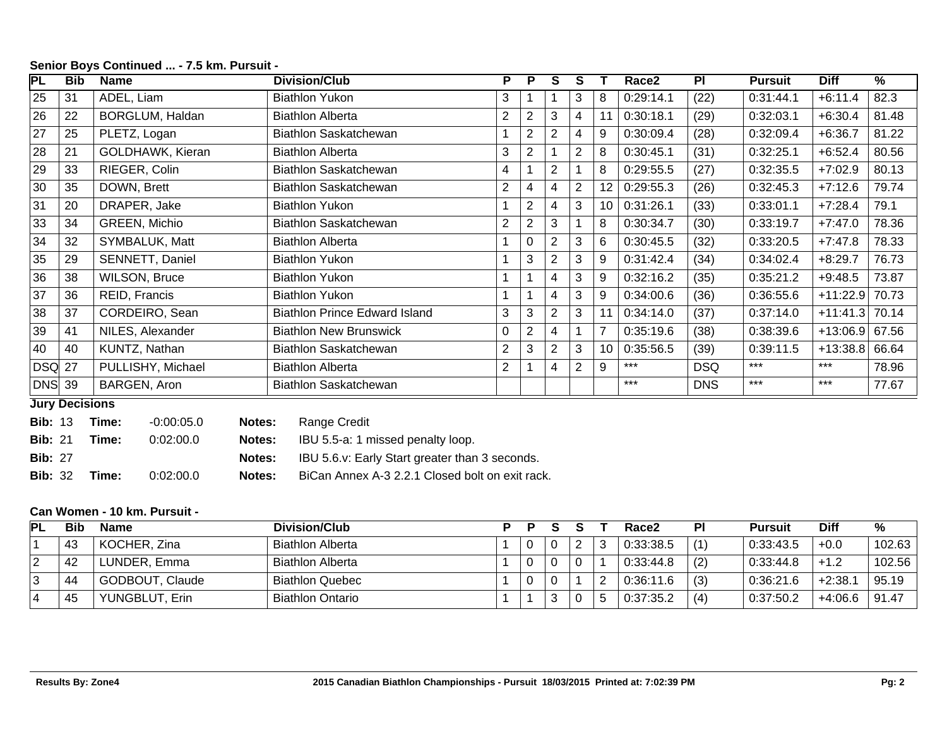| PL            | <b>Bib</b>            | Name                 | Division/Club                 | P.             | P              | S              | S              |                | Race <sub>2</sub> | PI         | Pursuit   | <b>Diff</b> | %     |
|---------------|-----------------------|----------------------|-------------------------------|----------------|----------------|----------------|----------------|----------------|-------------------|------------|-----------|-------------|-------|
| 25            | 31                    | ADEL, Liam           | <b>Biathlon Yukon</b>         | 3              |                |                | 3              | 8              | 0:29:14.1         | (22)       | 0:31:44.1 | $+6:11.4$   | 82.3  |
| 26            | 22                    | BORGLUM, Haldan      | <b>Biathlon Alberta</b>       | $\overline{2}$ | $\overline{2}$ | 3              | 4              | $1^{\circ}$    | 0:30:18.1         | (29)       | 0:32:03.1 | $+6:30.4$   | 81.48 |
| 27            | 25                    | PLETZ, Logan         | Biathlon Saskatchewan         |                | $\overline{2}$ | 2              | 4              | 9              | 0:30:09.4         | (28)       | 0:32:09.4 | $+6:36.7$   | 81.22 |
| 28            | 21                    | GOLDHAWK, Kieran     | <b>Biathlon Alberta</b>       | 3              | $\overline{2}$ |                | $\overline{2}$ | 8              | 0:30:45.1         | (31)       | 0:32:25.1 | $+6:52.4$   | 80.56 |
| 29            | 33                    | RIEGER, Colin        | Biathlon Saskatchewan         | 4              |                | $\overline{2}$ |                | 8              | 0:29:55.5         | (27)       | 0:32:35.5 | $+7:02.9$   | 80.13 |
| 30            | 35                    | DOWN, Brett          | Biathlon Saskatchewan         | $\overline{2}$ | 4              | 4              | $\overline{2}$ | 12             | 0:29:55.3         | (26)       | 0:32:45.3 | $+7:12.6$   | 79.74 |
| 31            | 20                    | DRAPER, Jake         | Biathlon Yukon                |                | $\overline{2}$ | 4              | 3              | 10             | 0:31:26.1         | (33)       | 0:33:01.1 | $+7:28.4$   | 79.1  |
| 33            | 34                    | GREEN, Michio        | Biathlon Saskatchewan         | 2              | $\overline{2}$ | 3              |                | 8              | 0:30:34.7         | (30)       | 0:33:19.7 | $+7:47.0$   | 78.36 |
| 34            | 32                    | SYMBALUK, Matt       | <b>Biathlon Alberta</b>       |                | 0              | 2              | 3              | 6              | 0:30:45.5         | (32)       | 0:33:20.5 | $+7:47.8$   | 78.33 |
| 35            | 29                    | SENNETT, Daniel      | Biathlon Yukon                |                | 3              | $\overline{2}$ | 3              | 9              | 0:31:42.4         | (34)       | 0:34:02.4 | $+8:29.7$   | 76.73 |
| 36            | 38                    | <b>WILSON, Bruce</b> | <b>Biathlon Yukon</b>         |                |                | 4              | 3              | 9              | 0:32:16.2         | (35)       | 0:35:21.2 | $+9:48.5$   | 73.87 |
| 37            | 36                    | REID, Francis        | <b>Biathlon Yukon</b>         |                |                | 4              | 3              | 9              | 0:34:00.6         | (36)       | 0:36:55.6 | $+11:22.9$  | 70.73 |
| 38            | 37                    | CORDEIRO, Sean       | Biathlon Prince Edward Island | 3              | 3              | $\overline{2}$ | 3              |                | 0:34:14.0         | (37)       | 0:37:14.0 | $+11:41.3$  | 70.14 |
| 39            | 41                    | NILES, Alexander     | <b>Biathlon New Brunswick</b> | 0              | $\overline{2}$ | 4              |                | $\overline{7}$ | 0:35:19.6         | (38)       | 0:38:39.6 | $+13:06.9$  | 67.56 |
| 40            | 40                    | KUNTZ, Nathan        | Biathlon Saskatchewan         | 2              | 3              | $\overline{2}$ | 3              | 10             | 0:35:56.5         | (39)       | 0:39:11.5 | $+13:38.8$  | 66.64 |
| <b>DSQ 27</b> |                       | PULLISHY, Michael    | <b>Biathlon Alberta</b>       | $\overline{2}$ |                | 4              | $\overline{2}$ | 9              | $***$             | <b>DSQ</b> | $***$     | $***$       | 78.96 |
| $DNS$ 39      |                       | BARGEN, Aron         | Biathlon Saskatchewan         |                |                |                |                |                | ***               | <b>DNS</b> | $***$     | $***$       | 77.67 |
|               | <b>Lury Decisions</b> |                      |                               |                |                |                |                |                |                   |            |           |             |       |

#### **Senior Boys Continued ... - 7.5 km. Pursuit -**

**Jury Decisions**

| <b>Bib:</b> 13 Time: | $-0.00:05.0$ | Notes: | Range Credit |  |
|----------------------|--------------|--------|--------------|--|

**Bib:** 21 **Time:** 0:02:00.0 **Notes:** IBU 5.5-a: 1 missed penalty loop.

**Bib:** 27 **Notes:** IBU 5.6.v: Early Start greater than 3 seconds.

**Bib:** 32 **Time:** 0:02:00.0 **Notes:** BiCan Annex A-3 2.2.1 Closed bolt on exit rack.

# **Can Women - 10 km. Pursuit -**

| PL | Bib | <b>Name</b>     | <b>Division/Club</b>    | D | D |        |   |    | Race2     | ΡI  | Pursuit   | Diff      | %      |
|----|-----|-----------------|-------------------------|---|---|--------|---|----|-----------|-----|-----------|-----------|--------|
|    | 43  | KOCHER, Zina    | <b>Biathlon Alberta</b> |   |   | J      | c | Ő  | 0:33:38.5 | (1) | 0:33:43.5 | $+0.0$    | 102.63 |
|    | 42  | LUNDER, Emma    | <b>Biathlon Alberta</b> |   |   | L      |   |    | 0:33:44.8 | (2) | 0:33:44.8 | $+1.2$    | 102.56 |
| ັ  | 44  | GODBOUT, Claude | <b>Biathlon Quebec</b>  |   |   | C      |   | 2  | 0:36:11.6 | (3) | 0:36:21.6 | $+2:38.7$ | 95.19  |
|    | 45  | YUNGBLUT, Erin  | <b>Biathlon Ontario</b> |   |   | 2<br>J |   | .ხ | 0:37:35.2 | (4) | 0:37:50.2 | $+4:06.6$ | 91.47  |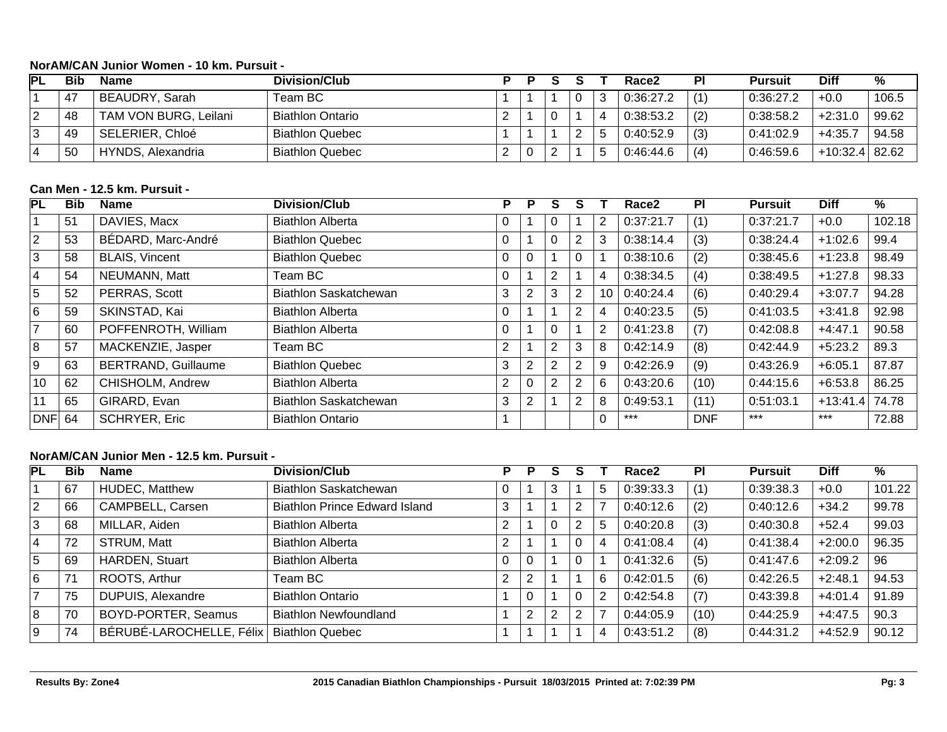# **NorAM/CAN Junior Women - 10 km. Pursuit -**

| PL | Bib | <b>Name</b>           | <b>Division/Club</b>    |  |  | Race2     | PI  | <b>Pursuit</b> | Diff           | %     |
|----|-----|-----------------------|-------------------------|--|--|-----------|-----|----------------|----------------|-------|
|    | -47 | BEAUDRY, Sarah        | Team BC l               |  |  | 0:36:27.2 | (1) | 0:36:27.2      | $+0.0$         | 106.5 |
|    | 48  | TAM VON BURG, Leilani | <b>Biathlon Ontario</b> |  |  | 0:38:53.2 | (2) | 0:38:58.2      | $+2:31.0$      | 99.62 |
|    | 49  | SELERIER, Chloé       | <b>Biathlon Quebec</b>  |  |  | 0:40:52.9 | (3) | 0:41:02.9      | $+4:35.7$      | 94.58 |
|    | 50  | HYNDS, Alexandria     | <b>Biathlon Quebec</b>  |  |  | 0:46:44.6 | (4) | 0:46:59.6      | +10:32.4 82.62 |       |

# **Can Men - 12.5 km. Pursuit -**

| PL               | <b>Bib</b> | Name                       | <b>Division/Club</b>         | P | Р              | S | S              |          | Race2     | PI         | <b>Pursuit</b> | <b>Diff</b> | %      |
|------------------|------------|----------------------------|------------------------------|---|----------------|---|----------------|----------|-----------|------------|----------------|-------------|--------|
|                  | 51         | DAVIES, Macx               | <b>Biathlon Alberta</b>      | 0 |                | 0 |                | 2        | 0:37:21.7 | (1)        | 0:37:21.7      | $+0.0$      | 102.18 |
| $\overline{2}$   | 53         | BÉDARD, Marc-André         | <b>Biathlon Quebec</b>       | 0 |                | 0 | 2              | 3        | 0:38:14.4 | (3)        | 0:38:24.4      | $+1:02.6$   | 99.4   |
| 3                | 58         | <b>BLAIS, Vincent</b>      | <b>Biathlon Quebec</b>       | 0 | 0              |   | $\mathbf 0$    |          | 0:38:10.6 | (2)        | 0:38:45.6      | $+1:23.8$   | 98.49  |
| $\overline{4}$   | 54         | NEUMANN, Matt              | Team BC .                    | 0 |                | 2 |                | 4        | 0:38:34.5 | (4)        | 0:38:49.5      | $+1:27.8$   | 98.33  |
| 5                | 52         | PERRAS, Scott              | <b>Biathlon Saskatchewan</b> | 3 | $\overline{2}$ | 3 | $\overline{2}$ | 10       | 0:40:24.4 | (6)        | 0:40:29.4      | $+3:07.7$   | 94.28  |
| 6                | 59         | SKINSTAD, Kai              | <b>Biathlon Alberta</b>      | 0 |                |   | 2              | 4        | 0:40:23.5 | (5)        | 0:41:03.5      | $+3:41.8$   | 92.98  |
| $\overline{7}$   | 60         | POFFENROTH, William        | <b>Biathlon Alberta</b>      | 0 |                | 0 |                | 2        | 0:41:23.8 | (7)        | 0:42:08.8      | $+4:47.1$   | 90.58  |
| $\boldsymbol{8}$ | 57         | MACKENZIE, Jasper          | Team BC                      | 2 |                | 2 | 3              | 8        | 0:42:14.9 | (8)        | 0:42:44.9      | $+5:23.2$   | 89.3   |
| $\overline{9}$   | 63         | <b>BERTRAND, Guillaume</b> | <b>Biathlon Quebec</b>       | 3 | 2              | 2 | 2              | 9        | 0:42:26.9 | (9)        | 0:43:26.9      | $+6:05.1$   | 87.87  |
| 10               | 62         | CHISHOLM, Andrew           | <b>Biathlon Alberta</b>      | 2 | 0              | 2 | 2              | 6        | 0:43:20.6 | (10)       | 0:44:15.6      | $+6:53.8$   | 86.25  |
| 11               | 65         | GIRARD, Evan               | Biathlon Saskatchewan        | 3 | 2              |   | 2              | 8        | 0:49:53.1 | (11)       | 0:51:03.1      | $+13:41.4$  | 74.78  |
| DNF 64           |            | <b>SCHRYER, Eric</b>       | <b>Biathlon Ontario</b>      |   |                |   |                | $\Omega$ | $***$     | <b>DNF</b> | $***$          | $***$       | 72.88  |

# **NorAM/CAN Junior Men - 12.5 km. Pursuit -**

| <b>PL</b>        | <b>Bib</b> | <b>Name</b>              | Division/Club                        | P              | P              | S              |   |   | Race2     | <b>PI</b> | <b>Pursuit</b> | <b>Diff</b> | %      |
|------------------|------------|--------------------------|--------------------------------------|----------------|----------------|----------------|---|---|-----------|-----------|----------------|-------------|--------|
|                  | 67         | HUDEC, Matthew           | Biathlon Saskatchewan                | 0              |                | 3              |   | 5 | 0:39:33.3 | (1)       | 0:39:38.3      | $+0.0$      | 101.22 |
| 2                | 66         | CAMPBELL, Carsen         | <b>Biathlon Prince Edward Island</b> | 3              |                |                | 2 |   | 0:40:12.6 | (2)       | 0:40:12.6      | $+34.2$     | 99.78  |
| 3                | 68         | MILLAR, Aiden            | <b>Biathlon Alberta</b>              | ົ              |                | 0              | 2 | b | 0:40:20.8 | (3)       | 0:40:30.8      | $+52.4$     | 99.03  |
| $^{\dagger}$ 4   | 72         | STRUM, Matt              | <b>Biathlon Alberta</b>              | $\overline{2}$ |                |                | 0 | 4 | 0:41:08.4 | (4)       | 0:41:38.4      | $+2:00.0$   | 96.35  |
| 5                | 69         | HARDEN, Stuart           | <b>Biathlon Alberta</b>              | 0              | $\Omega$       |                | 0 |   | 0:41:32.6 | (5)       | 0:41:47.6      | $+2:09.2$   | 96     |
| 6                | 71         | ROOTS, Arthur            | Team BC                              | ົ              | 2              |                |   | 6 | 0:42:01.5 | (6)       | 0:42:26.5      | $+2:48.1$   | 94.53  |
| 7                | 75         | DUPUIS, Alexandre        | <b>Biathlon Ontario</b>              |                | $\Omega$       |                | 0 | ာ | 0:42:54.8 | (7)       | 0:43:39.8      | $+4:01.4$   | 91.89  |
| $\boldsymbol{8}$ | 70         | BOYD-PORTER, Seamus      | <b>Biathlon Newfoundland</b>         |                | $\overline{2}$ | $\overline{2}$ | 2 |   | 0:44:05.9 | (10)      | 0:44:25.9      | $+4:47.5$   | 90.3   |
| 9                | 74         | BÉRUBÉ-LAROCHELLE, Félix | <b>Biathlon Quebec</b>               |                |                |                |   | 4 | 0:43:51.2 | (8)       | 0:44:31.2      | $+4:52.9$   | 90.12  |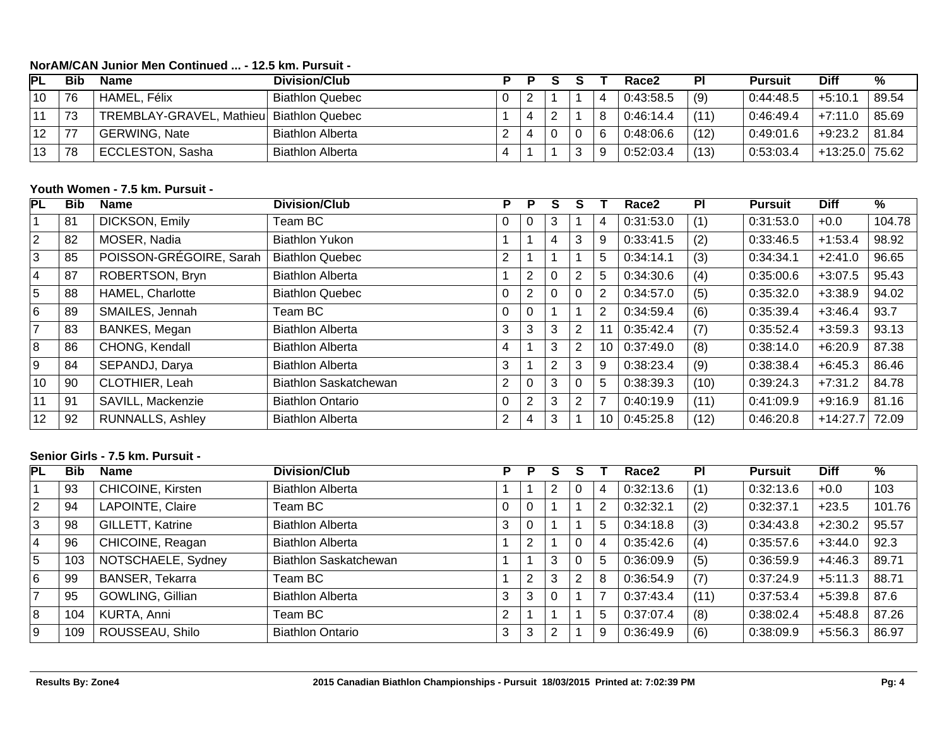# **NorAM/CAN Junior Men Continued ... - 12.5 km. Pursuit -**

| PL | <b>Bib</b> | Name                                     | Division/Club           | P |   |  |   | Race <sub>2</sub> | <b>PI</b> | <b>Pursuit</b> | <b>Diff</b>    | %     |
|----|------------|------------------------------------------|-------------------------|---|---|--|---|-------------------|-----------|----------------|----------------|-------|
| 10 | 76         | HAMEL, Félix                             | <b>Biathlon Quebec</b>  | 0 | S |  |   | 0:43:58.5         | (9)       | 0:44:48.5      | $+5:10.7$      | 89.54 |
| 11 | 73         | TREMBLAY-GRAVEL, Mathieu Biathlon Quebec |                         |   | 4 |  | 8 | 0:46:14.4         | (11)      | 0:46:49.4      | $+7:11.0$      | 85.69 |
| 12 | 77         | <b>GERWING, Nate</b>                     | <b>Biathlon Alberta</b> | റ | 4 |  | 6 | 0:48:06.6         | (12)      | 0:49:01.6      | $+9:23.2$      | 81.84 |
| 13 | 78         | <b>ECCLESTON, Sasha</b>                  | <b>Biathlon Alberta</b> |   |   |  | 9 | 0:52:03.4         | (13)      | 0:53:03.4      | +13:25.0 75.62 |       |
|    |            |                                          |                         |   |   |  |   |                   |           |                |                |       |

# **Youth Women - 7.5 km. Pursuit -**

| PL | <b>Bib</b> | Name                    | <b>Division/Club</b>    | P        | P              | S |          |                | Race <sub>2</sub> | PI   | <b>Pursuit</b> | <b>Diff</b> | %      |
|----|------------|-------------------------|-------------------------|----------|----------------|---|----------|----------------|-------------------|------|----------------|-------------|--------|
|    | 81         | DICKSON, Emily          | Team BC                 | 0        | 0              | 3 |          | 4              | 0:31:53.0         | (1)  | 0:31:53.0      | $+0.0$      | 104.78 |
| 2  | 82         | MOSER, Nadia            | <b>Biathlon Yukon</b>   |          |                | 4 | 3        | 9              | 0:33:41.5         | (2)  | 0:33:46.5      | $+1:53.4$   | 98.92  |
| 3  | 85         | POISSON-GRÉGOIRE, Sarah | <b>Biathlon Quebec</b>  | 2        |                |   |          | 5              | 0:34:14.1         | (3)  | 0:34:34.1      | $+2:41.0$   | 96.65  |
| 4  | 87         | ROBERTSON, Bryn         | <b>Biathlon Alberta</b> |          | $\overline{2}$ | 0 | 2        | 5              | 0:34:30.6         | (4)  | 0:35:00.6      | $+3:07.5$   | 95.43  |
| 5  | 88         | <b>HAMEL, Charlotte</b> | <b>Biathlon Quebec</b>  | 0        | 2              | 0 | 0        | $\overline{2}$ | 0:34:57.0         | (5)  | 0:35:32.0      | $+3:38.9$   | 94.02  |
| 6  | 89         | SMAILES, Jennah         | Team BC                 | $\Omega$ | 0              |   |          | $\overline{2}$ | 0:34:59.4         | (6)  | 0:35:39.4      | $+3:46.4$   | 93.7   |
|    | 83         | <b>BANKES, Megan</b>    | <b>Biathlon Alberta</b> | 3        | 3              | 3 | 2        | 11             | 0:35:42.4         | (7)  | 0:35:52.4      | $+3:59.3$   | 93.13  |
| 8  | 86         | CHONG, Kendall          | <b>Biathlon Alberta</b> | 4        |                | 3 | 2        | 10             | 0:37:49.0         | (8)  | 0:38:14.0      | $+6:20.9$   | 87.38  |
| 9  | 84         | SEPANDJ, Darya          | <b>Biathlon Alberta</b> | 3        |                | 2 | 3        | 9              | 0:38:23.4         | (9)  | 0:38:38.4      | $+6:45.3$   | 86.46  |
| 10 | 90         | CLOTHIER, Leah          | Biathlon Saskatchewan   | 2        | 0              | 3 | $\Omega$ | 5              | 0:38:39.3         | (10) | 0:39:24.3      | $+7:31.2$   | 84.78  |
| 11 | 91         | SAVILL, Mackenzie       | <b>Biathlon Ontario</b> | 0        | $\overline{2}$ | 3 | 2        | $\overline{ }$ | 0:40:19.9         | (11) | 0:41:09.9      | $+9:16.9$   | 81.16  |
| 12 | 92         | <b>RUNNALLS, Ashley</b> | <b>Biathlon Alberta</b> | 2        | 4              | 3 |          | 10             | 0:45:25.8         | (12) | 0:46:20.8      | $+14:27.7$  | 72.09  |

### **Senior Girls - 7.5 km. Pursuit -**

| PL          | <b>Bib</b> | Name                   | Division/Club           | P            | P      | S |   |                | Race2     | <b>PI</b> | <b>Pursuit</b> | <b>Diff</b> | %      |
|-------------|------------|------------------------|-------------------------|--------------|--------|---|---|----------------|-----------|-----------|----------------|-------------|--------|
|             | 93         | CHICOINE, Kirsten      | <b>Biathlon Alberta</b> |              |        | 2 | 0 | 4              | 0:32:13.6 | (1)       | 0:32:13.6      | $+0.0$      | 103    |
| $ 2\rangle$ | 94         | LAPOINTE, Claire       | Team BC                 | $\mathbf{0}$ | 0      |   |   | $\overline{2}$ | 0:32:32.1 | (2)       | 0:32:37.1      | $+23.5$     | 101.76 |
| 3           | 98         | GILLETT, Katrine       | <b>Biathlon Alberta</b> | 3            |        |   |   | 5              | 0:34:18.8 | (3)       | 0:34:43.8      | $+2:30.2$   | 95.57  |
| 4           | 96         | CHICOINE, Reagan       | <b>Biathlon Alberta</b> |              | ົ      |   | 0 | 4              | 0:35:42.6 | (4)       | 0:35:57.6      | $+3:44.0$   | 92.3   |
| 5           | 103        | NOTSCHAELE, Sydney     | Biathlon Saskatchewan   |              |        | 3 | 0 | 5              | 0:36:09.9 | (5)       | 0:36:59.9      | $+4:46.3$   | 89.71  |
| l 6         | 99         | <b>BANSER, Tekarra</b> | Team BC                 |              | ົ      | 3 | 2 | 8              | 0:36:54.9 | (7)       | 0:37:24.9      | $+5:11.3$   | 88.71  |
|             | 95         | GOWLING, Gillian       | <b>Biathlon Alberta</b> | 3            | ີ<br>ت |   |   |                | 0:37:43.4 | (11)      | 0:37:53.4      | $+5:39.8$   | 87.6   |
| 8           | 104        | KURTA, Anni            | Team BC                 | C.           |        |   |   | 5              | 0:37:07.4 | (8)       | 0:38:02.4      | $+5:48.8$   | 87.26  |
| و ا         | 109        | ROUSSEAU, Shilo        | <b>Biathlon Ontario</b> | 3            | 3      | ⌒ |   | 9              | 0:36:49.9 | (6)       | 0:38:09.9      | $+5:56.3$   | 86.97  |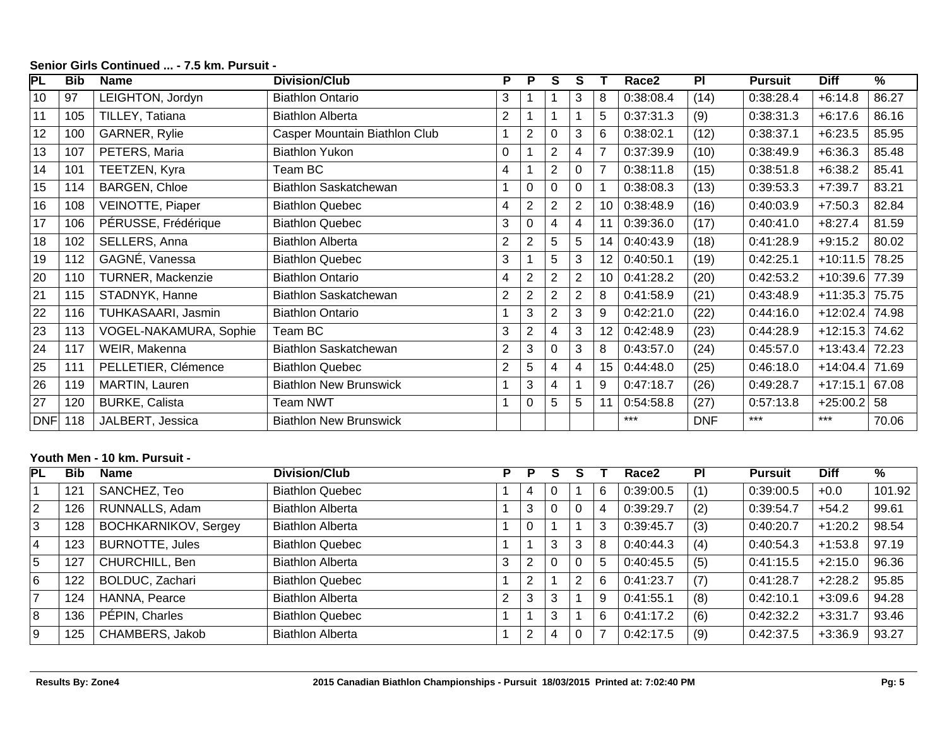| PL         | <b>Bib</b> | <b>Name</b>              | <b>Division/Club</b>          | P.             | P | S              | S              |                | Race2     | PI         | <b>Pursuit</b> | <b>Diff</b> | $\frac{9}{6}$ |
|------------|------------|--------------------------|-------------------------------|----------------|---|----------------|----------------|----------------|-----------|------------|----------------|-------------|---------------|
| 10         | 97         | LEIGHTON, Jordyn         | <b>Biathlon Ontario</b>       | 3              |   |                | 3              | 8              | 0:38:08.4 | (14)       | 0:38:28.4      | $+6:14.8$   | 86.27         |
| 11         | 105        | TILLEY, Tatiana          | <b>Biathlon Alberta</b>       | $\overline{2}$ |   |                |                | 5              | 0:37:31.3 | (9)        | 0:38:31.3      | $+6:17.6$   | 86.16         |
| 12         | 100        | GARNER, Rylie            | Casper Mountain Biathlon Club |                | 2 | 0              | 3              | 6              | 0:38:02.1 | (12)       | 0:38:37.1      | $+6:23.5$   | 85.95         |
| 13         | 107        | PETERS, Maria            | <b>Biathlon Yukon</b>         | 0              |   | $\overline{2}$ | 4              | $\overline{7}$ | 0:37:39.9 | (10)       | 0:38:49.9      | $+6:36.3$   | 85.48         |
| 14         | 101        | TEETZEN, Kyra            | Team BC                       | 4              |   | $\overline{2}$ | 0              | $\overline{7}$ | 0:38:11.8 | (15)       | 0:38:51.8      | $+6:38.2$   | 85.41         |
| 15         | 114        | <b>BARGEN, Chloe</b>     | Biathlon Saskatchewan         |                | 0 | 0              | 0              |                | 0:38:08.3 | (13)       | 0:39:53.3      | $+7:39.7$   | 83.21         |
| 16         | 108        | VEINOTTE, Piaper         | <b>Biathlon Quebec</b>        | 4              | 2 | $\overline{c}$ | $\overline{2}$ | 10             | 0:38:48.9 | (16)       | 0:40:03.9      | $+7:50.3$   | 82.84         |
| 17         | 106        | PÉRUSSE, Frédérique      | <b>Biathlon Quebec</b>        | 3              | 0 | 4              | 4              |                | 0:39:36.0 | (17)       | 0:40:41.0      | $+8:27.4$   | 81.59         |
| 18         | 102        | SELLERS, Anna            | <b>Biathlon Alberta</b>       | 2              | 2 | 5              | 5              | 14             | 0:40:43.9 | (18)       | 0:41:28.9      | $+9:15.2$   | 80.02         |
| 19         | 112        | GAGNÉ, Vanessa           | <b>Biathlon Quebec</b>        | 3              |   | 5              | 3              | 12             | 0:40:50.1 | (19)       | 0:42:25.1      | $+10:11.5$  | 78.25         |
| 20         | 110        | <b>TURNER, Mackenzie</b> | <b>Biathlon Ontario</b>       | 4              | 2 | $\overline{2}$ | $\overline{2}$ | 10             | 0:41:28.2 | (20)       | 0:42:53.2      | $+10:39.6$  | 77.39         |
| 21         | 115        | STADNYK, Hanne           | <b>Biathlon Saskatchewan</b>  | 2              | 2 | $\overline{2}$ | $\overline{2}$ | 8              | 0:41:58.9 | (21)       | 0:43:48.9      | $+11:35.3$  | 75.75         |
| 22         | 116        | TUHKASAARI, Jasmin       | <b>Biathlon Ontario</b>       |                | 3 | $\overline{2}$ | 3              | 9              | 0:42:21.0 | (22)       | 0:44:16.0      | $+12:02.4$  | 74.98         |
| 23         | 113        | VOGEL-NAKAMURA, Sophie   | Team BC                       | 3              | 2 | 4              | 3              | 12             | 0:42:48.9 | (23)       | 0:44:28.9      | $+12:15.3$  | 74.62         |
| 24         | 117        | WEIR, Makenna            | Biathlon Saskatchewan         | $\overline{2}$ | 3 | 0              | 3              | 8              | 0:43:57.0 | (24)       | 0:45:57.0      | $+13:43.4$  | 72.23         |
| 25         | 111        | PELLETIER, Clémence      | <b>Biathlon Quebec</b>        | 2              | 5 | 4              | 4              | 15             | 0:44:48.0 | (25)       | 0:46:18.0      | $+14:04.4$  | 71.69         |
| 26         | 119        | MARTIN, Lauren           | <b>Biathlon New Brunswick</b> |                | 3 | 4              |                | 9              | 0:47:18.7 | (26)       | 0:49:28.7      | $+17:15.1$  | 67.08         |
| 27         | 120        | <b>BURKE, Calista</b>    | Team NWT                      |                | 0 | 5              | 5              | 11             | 0:54:58.8 | (27)       | 0:57:13.8      | $+25:00.2$  | 58            |
| <b>DNF</b> | 118        | JALBERT, Jessica         | <b>Biathlon New Brunswick</b> |                |   |                |                |                | $***$     | <b>DNF</b> | ***            | $***$       | 70.06         |

# **Senior Girls Continued ... - 7.5 km. Pursuit -**

# **Youth Men - 10 km. Pursuit -**

| PL               | <b>Bib</b> | <b>Name</b>                 | Division/Club           | Р | P | S |   |   | Race <sub>2</sub> | <b>PI</b> | <b>Pursuit</b> | <b>Diff</b> | $\frac{9}{6}$ |
|------------------|------------|-----------------------------|-------------------------|---|---|---|---|---|-------------------|-----------|----------------|-------------|---------------|
|                  | 121        | SANCHEZ, Teo                | <b>Biathlon Quebec</b>  |   | 4 |   |   | 6 | 0:39:00.5         | (1)       | 0:39:00.5      | $+0.0$      | 101.92        |
| 2                | 126        | RUNNALLS, Adam              | <b>Biathlon Alberta</b> |   | 3 | 0 |   | 4 | 0:39:29.7         | (2)       | 0:39:54.7      | $+54.2$     | 99.61         |
| 3                | 128        | <b>BOCHKARNIKOV, Sergey</b> | <b>Biathlon Alberta</b> |   | 0 |   |   | 3 | 0:39:45.7         | (3)       | 0:40:20.7      | $+1:20.2$   | 98.54         |
| $\overline{4}$   | 123        | <b>BURNOTTE, Jules</b>      | <b>Biathlon Quebec</b>  |   |   | 3 | 3 | 8 | 0:40:44.3         | (4)       | 0:40:54.3      | $+1:53.8$   | 97.19         |
| 5                | 127        | CHURCHILL, Ben              | <b>Biathlon Alberta</b> | 3 | C |   |   | 5 | 0:40:45.5         | (5)       | 0:41:15.5      | $+2:15.0$   | 96.36         |
| 6                | 122        | BOLDUC, Zachari             | <b>Biathlon Quebec</b>  |   | ົ |   | ◠ | 6 | 0:41:23.7         | (7)       | 0:41:28.7      | $+2:28.2$   | 95.85         |
| $\overline{7}$   | 124        | HANNA, Pearce               | <b>Biathlon Alberta</b> | 2 | 3 | 3 |   | 9 | 0:41:55.1         | (8)       | 0:42:10.1      | $+3:09.6$   | 94.28         |
| $\boldsymbol{8}$ | 136        | PÉPIN, Charles              | <b>Biathlon Quebec</b>  |   |   | 3 |   | 6 | 0:41:17.2         | (6)       | 0:42:32.2      | $+3:31.7$   | 93.46         |
| 9                | 125        | CHAMBERS, Jakob             | <b>Biathlon Alberta</b> |   | 2 | 4 |   |   | 0:42:17.5         | (9)       | 0:42:37.5      | $+3:36.9$   | 93.27         |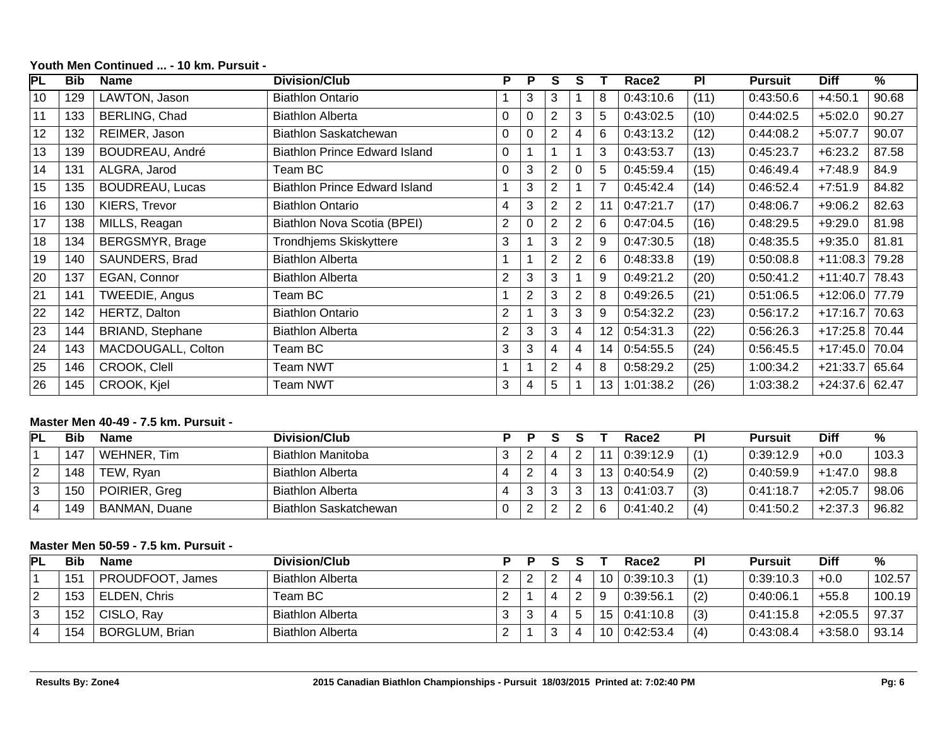| $\overline{\mathsf{PL}}$ | <b>Bib</b> | <b>Name</b>             | <b>Division/Club</b>                 | P | P              | S              | S              |                | Race <sub>2</sub> | PI   | <b>Pursuit</b> | <b>Diff</b> | %     |
|--------------------------|------------|-------------------------|--------------------------------------|---|----------------|----------------|----------------|----------------|-------------------|------|----------------|-------------|-------|
| 10                       | 129        | LAWTON, Jason           | <b>Biathlon Ontario</b>              |   | 3              | 3              |                | 8              | 0:43:10.6         | (11) | 0:43:50.6      | $+4:50.1$   | 90.68 |
| 11                       | 133        | BERLING, Chad           | <b>Biathlon Alberta</b>              | 0 | 0              | $\overline{2}$ | 3              | 5              | 0:43:02.5         | (10) | 0:44:02.5      | $+5:02.0$   | 90.27 |
| 12                       | 132        | REIMER, Jason           | Biathlon Saskatchewan                | 0 | 0              | $\overline{2}$ | 4              | 6              | 0:43:13.2         | (12) | 0:44:08.2      | $+5:07.7$   | 90.07 |
| 13                       | 139        | BOUDREAU, André         | <b>Biathlon Prince Edward Island</b> | 0 |                |                |                | 3              | 0:43:53.7         | (13) | 0:45:23.7      | $+6:23.2$   | 87.58 |
| 14                       | 131        | ALGRA, Jarod            | Team BC                              | 0 | 3              | $\overline{2}$ | $\Omega$       | 5              | 0:45:59.4         | (15) | 0:46:49.4      | $+7:48.9$   | 84.9  |
| 15                       | 135        | <b>BOUDREAU, Lucas</b>  | <b>Biathlon Prince Edward Island</b> |   | 3              | $\overline{2}$ |                | $\overline{7}$ | 0:45:42.4         | (14) | 0:46:52.4      | $+7:51.9$   | 84.82 |
| 16                       | 130        | KIERS, Trevor           | <b>Biathlon Ontario</b>              | 4 | 3              | $\overline{2}$ | 2              | 11             | 0:47:21.7         | (17) | 0:48:06.7      | $+9:06.2$   | 82.63 |
| 17                       | 138        | MILLS, Reagan           | Biathlon Nova Scotia (BPEI)          | 2 | 0              | $\overline{2}$ | $\overline{2}$ | 6              | 0:47:04.5         | (16) | 0:48:29.5      | $+9:29.0$   | 81.98 |
| 18                       | 134        | <b>BERGSMYR, Brage</b>  | Trondhjems Skiskyttere               | 3 |                | 3              | $\overline{2}$ | 9              | 0:47:30.5         | (18) | 0:48:35.5      | $+9:35.0$   | 81.81 |
| 19                       | 140        | SAUNDERS, Brad          | <b>Biathlon Alberta</b>              |   |                | $\overline{2}$ | 2              | 6              | 0:48:33.8         | (19) | 0:50:08.8      | $+11:08.3$  | 79.28 |
| 20                       | 137        | EGAN, Connor            | <b>Biathlon Alberta</b>              | 2 | 3              | 3              |                | 9              | 0:49:21.2         | (20) | 0:50:41.2      | $+11:40.7$  | 78.43 |
| 21                       | 141        | TWEEDIE, Angus          | Team BC                              |   | $\overline{2}$ | 3              | $\overline{2}$ | 8              | 0:49:26.5         | (21) | 0:51:06.5      | $+12:06.0$  | 77.79 |
| 22                       | 142        | HERTZ, Dalton           | <b>Biathlon Ontario</b>              | 2 |                | 3              | 3              | 9              | 0:54:32.2         | (23) | 0:56:17.2      | $+17:16.7$  | 70.63 |
| 23                       | 144        | <b>BRIAND, Stephane</b> | <b>Biathlon Alberta</b>              | 2 | 3              | 3              | $\overline{4}$ | 12             | 0:54:31.3         | (22) | 0:56:26.3      | $+17:25.8$  | 70.44 |
| 24                       | 143        | MACDOUGALL, Colton      | Team BC                              | 3 | 3              | 4              | $\overline{4}$ | 14             | 0:54:55.5         | (24) | 0:56:45.5      | $+17:45.0$  | 70.04 |
| 25                       | 146        | CROOK, Clell            | Team NWT                             |   |                | $\overline{2}$ | $\overline{4}$ | 8              | 0:58:29.2         | (25) | 1:00:34.2      | $+21:33.7$  | 65.64 |
| 26                       | 145        | CROOK, Kjel             | <b>Team NWT</b>                      | 3 | 4              | 5              |                | 13             | 1:01:38.2         | (26) | 1:03:38.2      | $+24:37.6$  | 62.47 |

# **Youth Men Continued ... - 10 km. Pursuit -**

#### **Master Men 40-49 - 7.5 km. Pursuit -**

| <b>PL</b> | <b>Bib</b> | <b>Name</b>          | Division/Club           |  |   |                 | Race2     | PI  | <b>Pursuit</b> | <b>Diff</b> | %     |
|-----------|------------|----------------------|-------------------------|--|---|-----------------|-----------|-----|----------------|-------------|-------|
|           | 147        | WEHNER, Tim          | Biathlon Manitoba       |  | Ω | 11              | 0:39:12.9 | (1) | 0:39:12.9      | $+0.0$      | 103.3 |
|           | 148        | TEW, Ryan            | <b>Biathlon Alberta</b> |  | ົ | 13 <sub>1</sub> | 0:40:54.9 | (2) | 0:40:59.9      | $+1:47.0$   | 98.8  |
|           | 150        | POIRIER, Greg        | <b>Biathlon Alberta</b> |  | ◠ | 13 <sub>1</sub> | 0:41:03.7 | (3) | 0:41:18.7      | $+2:05.7$   | 98.06 |
|           | 149        | <b>BANMAN, Duane</b> | Biathlon Saskatchewan   |  |   | 6               | 0:41:40.2 | (4) | 0:41:50.2      | $+2:37.3$   | 96.82 |

# **Master Men 50-59 - 7.5 km. Pursuit -**

| PL | Bib | Name                  | Division/Club           |          |  |            |    | Race2     | PI  | <b>Pursuit</b> | <b>Diff</b> | %      |
|----|-----|-----------------------|-------------------------|----------|--|------------|----|-----------|-----|----------------|-------------|--------|
|    | 151 | PROUDFOOT, James      | <b>Biathlon Alberta</b> |          |  |            | 10 | 0:39:10.3 | (1) | 0:39:10.3      | $+0.0$      | 102.57 |
| ⌒  | 153 | <b>ELDEN, Chris</b>   | Team BC                 |          |  | $\sqrt{2}$ | 9  | 0:39:56.1 | (2) | 0:40:06.7      | $+55.8$     | 100.19 |
| ັ  | 152 | CISLO, Ray            | <b>Biathlon Alberta</b> |          |  | b          | 15 | 0.41:10.8 | (3) | 0:41:15.8      | $+2:05.5$   | .97.37 |
|    | 154 | <b>BORGLUM, Brian</b> | <b>Biathlon Alberta</b> | <u>_</u> |  |            | 10 | 0:42:53.4 | (4) | 0:43:08.4      | $+3:58.0$   | 93.14  |